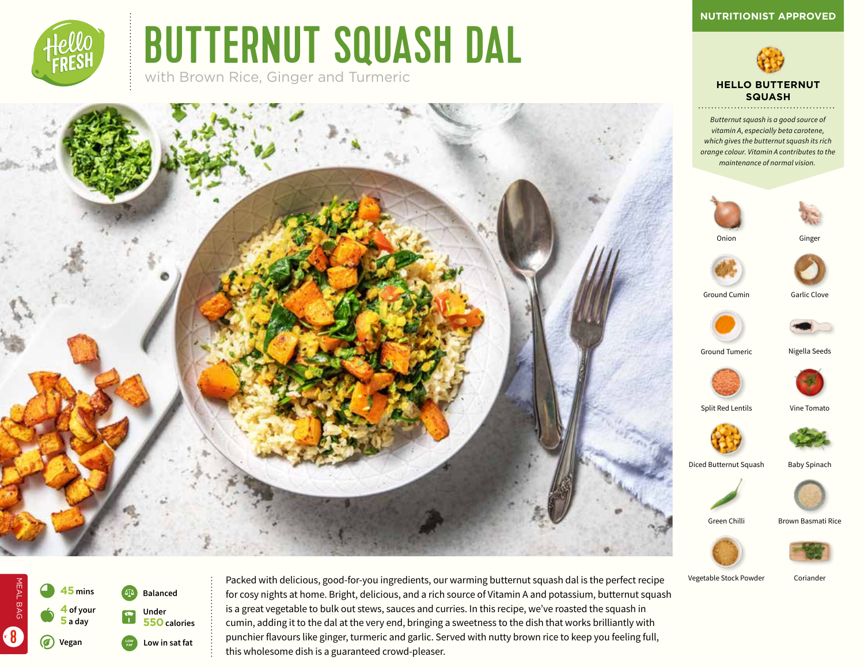*Butternut squash is a good source of vitamin A, especially beta carotene, which gives the butternut squash its rich* 

**HELLO BUTTERNUT SQUASH**



# BUTTERNUT SQUASH DAL

with Brown Rice, Ginger and Turmeric





Vegetable Stock Powder Coriander



MEAL BAG

MEAL BAG

8

Packed with delicious, good-for-you ingredients, our warming butternut squash dal is the perfect recipe for cosy nights at home. Bright, delicious, and a rich source of Vitamin A and potassium, butternut squash is a great vegetable to bulk out stews, sauces and curries. In this recipe, we've roasted the squash in cumin, adding it to the dal at the very end, bringing a sweetness to the dish that works brilliantly with punchier flavours like ginger, turmeric and garlic. Served with nutty brown rice to keep you feeling full, this wholesome dish is a guaranteed crowd-pleaser.